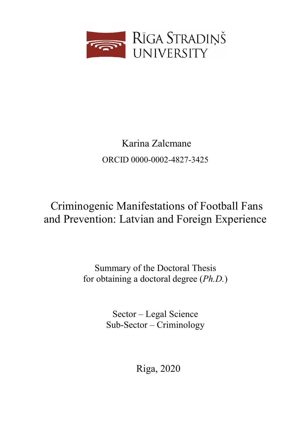

# Karina Zalcmane ORCID [0000-0002-4827-3425](https://orcid.org/0000-0002-4827-3425)

# Criminogenic Manifestations of Football Fans and Prevention: Latvian and Foreign Experience

Summary of the Doctoral Thesis for obtaining a doctoral degree (*Ph.D.*)

> Sector – Legal Science Sub-Sector – Criminology

> > Riga, 2020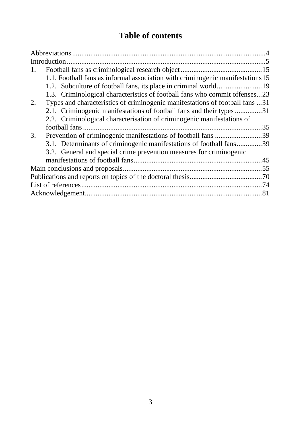### **Table of contents**

| 1.                                                                                 |
|------------------------------------------------------------------------------------|
| 1.1. Football fans as informal association with criminogenic manifestations 15     |
| 1.2. Subculture of football fans, its place in criminal world19                    |
| 1.3. Criminological characteristics of football fans who commit offenses23         |
| Types and characteristics of criminogenic manifestations of football fans 31<br>2. |
| 2.1. Criminogenic manifestations of football fans and their types 31               |
| 2.2. Criminological characterisation of criminogenic manifestations of             |
|                                                                                    |
| Prevention of criminogenic manifestations of football fans 39<br>3.                |
| 3.1. Determinants of criminogenic manifestations of football fans39                |
| 3.2. General and special crime prevention measures for criminogenic                |
|                                                                                    |
|                                                                                    |
|                                                                                    |
|                                                                                    |
|                                                                                    |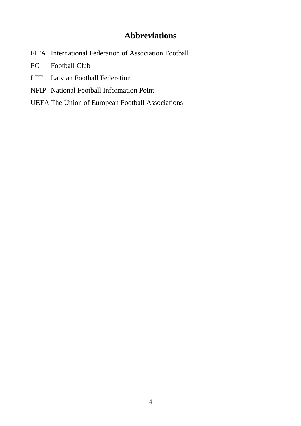### **Abbreviations**

- <span id="page-4-0"></span>FIFA International Federation of Association Football
- FC Football Club
- LFF Latvian Football Federation
- NFIP National Football Information Point
- UEFA The Union of European Football Associations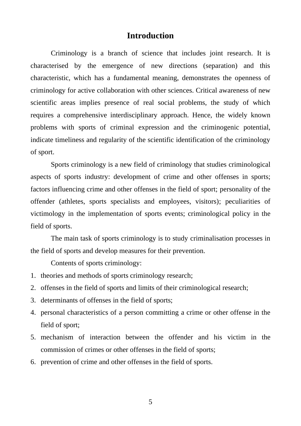#### **Introduction**

<span id="page-5-0"></span>Criminology is a branch of science that includes joint research. It is characterised by the emergence of new directions (separation) and this characteristic, which has a fundamental meaning, demonstrates the openness of criminology for active collaboration with other sciences. Critical awareness of new scientific areas implies presence of real social problems, the study of which requires a comprehensive interdisciplinary approach. Hence, the widely known problems with sports of criminal expression and the criminogenic potential, indicate timeliness and regularity of the scientific identification of the criminology of sport.

Sports criminology is a new field of criminology that studies criminological aspects of sports industry: development of crime and other offenses in sports; factors influencing crime and other offenses in the field of sport; personality of the offender (athletes, sports specialists and employees, visitors); peculiarities of victimology in the implementation of sports events; criminological policy in the field of sports.

The main task of sports criminology is to study criminalisation processes in the field of sports and develop measures for their prevention.

Contents of sports criminology:

- 1. theories and methods of sports criminology research;
- 2. offenses in the field of sports and limits of their criminological research;
- 3. determinants of offenses in the field of sports;
- 4. personal characteristics of a person committing a crime or other offense in the field of sport;
- 5. mechanism of interaction between the offender and his victim in the commission of crimes or other offenses in the field of sports;
- 6. prevention of crime and other offenses in the field of sports.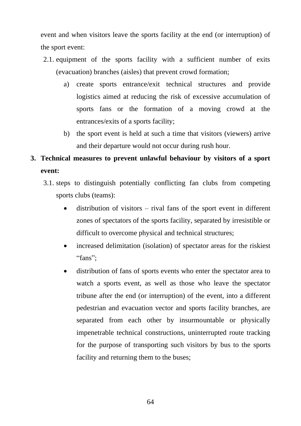event and when visitors leave the sports facility at the end (or interruption) of the sport event:

- 2.1. equipment of the sports facility with a sufficient number of exits (evacuation) branches (aisles) that prevent crowd formation;
	- a) create sports entrance/exit technical structures and provide logistics aimed at reducing the risk of excessive accumulation of sports fans or the formation of a moving crowd at the entrances/exits of a sports facility;
	- b) the sport event is held at such a time that visitors (viewers) arrive and their departure would not occur during rush hour.

## **3. Technical measures to prevent unlawful behaviour by visitors of a sport event:**

- 3.1. steps to distinguish potentially conflicting fan clubs from competing sports clubs (teams):
	- distribution of visitors rival fans of the sport event in different zones of spectators of the sports facility, separated by irresistible or difficult to overcome physical and technical structures;
	- increased delimitation (isolation) of spectator areas for the riskiest "fans";
	- distribution of fans of sports events who enter the spectator area to watch a sports event, as well as those who leave the spectator tribune after the end (or interruption) of the event, into a different pedestrian and evacuation vector and sports facility branches, are separated from each other by insurmountable or physically impenetrable technical constructions, uninterrupted route tracking for the purpose of transporting such visitors by bus to the sports facility and returning them to the buses;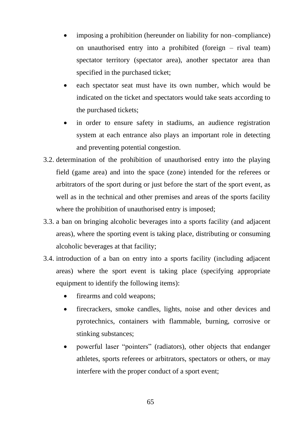- imposing a prohibition (hereunder on liability for non–compliance) on unauthorised entry into a prohibited (foreign – rival team) spectator territory (spectator area), another spectator area than specified in the purchased ticket;
- each spectator seat must have its own number, which would be indicated on the ticket and spectators would take seats according to the purchased tickets;
- in order to ensure safety in stadiums, an audience registration system at each entrance also plays an important role in detecting and preventing potential congestion.
- 3.2. determination of the prohibition of unauthorised entry into the playing field (game area) and into the space (zone) intended for the referees or arbitrators of the sport during or just before the start of the sport event, as well as in the technical and other premises and areas of the sports facility where the prohibition of unauthorised entry is imposed:
- 3.3. a ban on bringing alcoholic beverages into a sports facility (and adjacent areas), where the sporting event is taking place, distributing or consuming alcoholic beverages at that facility;
- 3.4. introduction of a ban on entry into a sports facility (including adjacent areas) where the sport event is taking place (specifying appropriate equipment to identify the following items):
	- firearms and cold weapons;
	- firecrackers, smoke candles, lights, noise and other devices and pyrotechnics, containers with flammable, burning, corrosive or stinking substances;
	- powerful laser "pointers" (radiators), other objects that endanger athletes, sports referees or arbitrators, spectators or others, or may interfere with the proper conduct of a sport event;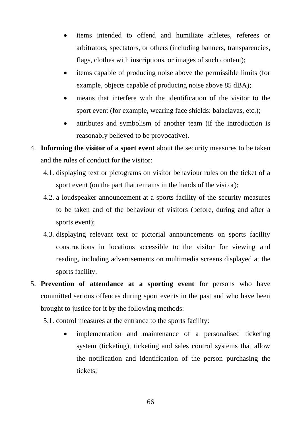- items intended to offend and humiliate athletes, referees or arbitrators, spectators, or others (including banners, transparencies, flags, clothes with inscriptions, or images of such content);
- items capable of producing noise above the permissible limits (for example, objects capable of producing noise above 85 dBA);
- means that interfere with the identification of the visitor to the sport event (for example, wearing face shields: balaclavas, etc.);
- attributes and symbolism of another team (if the introduction is reasonably believed to be provocative).
- 4. **Informing the visitor of a sport event** about the security measures to be taken and the rules of conduct for the visitor:
	- 4.1. displaying text or pictograms on visitor behaviour rules on the ticket of a sport event (on the part that remains in the hands of the visitor);
	- 4.2. a loudspeaker announcement at a sports facility of the security measures to be taken and of the behaviour of visitors (before, during and after a sports event);
	- 4.3. displaying relevant text or pictorial announcements on sports facility constructions in locations accessible to the visitor for viewing and reading, including advertisements on multimedia screens displayed at the sports facility.
- 5. **Prevention of attendance at a sporting event** for persons who have committed serious offences during sport events in the past and who have been brought to justice for it by the following methods:
	- 5.1. control measures at the entrance to the sports facility:
		- implementation and maintenance of a personalised ticketing system (ticketing), ticketing and sales control systems that allow the notification and identification of the person purchasing the tickets;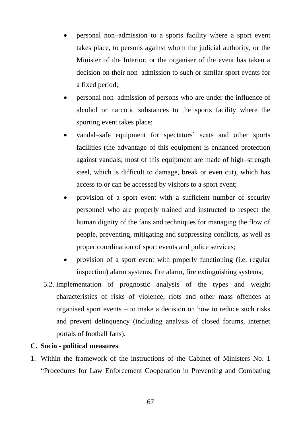- personal non–admission to a sports facility where a sport event takes place, to persons against whom the judicial authority, or the Minister of the Interior, or the organiser of the event has taken a decision on their non–admission to such or similar sport events for a fixed period;
- personal non–admission of persons who are under the influence of alcohol or narcotic substances to the sports facility where the sporting event takes place;
- vandal–safe equipment for spectators' seats and other sports facilities (the advantage of this equipment is enhanced protection against vandals; most of this equipment are made of high–strength steel, which is difficult to damage, break or even cut), which has access to or can be accessed by visitors to a sport event;
- provision of a sport event with a sufficient number of security personnel who are properly trained and instructed to respect the human dignity of the fans and techniques for managing the flow of people, preventing, mitigating and suppressing conflicts, as well as proper coordination of sport events and police services;
- provision of a sport event with properly functioning (i.e. regular inspection) alarm systems, fire alarm, fire extinguishing systems;
- 5.2. implementation of prognostic analysis of the types and weight characteristics of risks of violence, riots and other mass offences at organised sport events – to make a decision on how to reduce such risks and prevent delinquency (including analysis of closed forums, internet portals of football fans).

## **C. Socio - political measures**

1. Within the framework of the instructions of the Cabinet of Ministers No. 1 "Procedures for Law Enforcement Cooperation in Preventing and Combating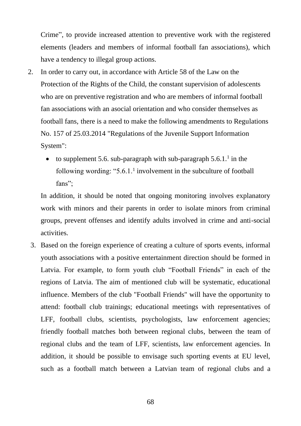Crime", to provide increased attention to preventive work with the registered elements (leaders and members of informal football fan associations), which have a tendency to illegal group actions.

- 2. In order to carry out, in accordance with Article 58 of the Law on the Protection of the Rights of the Child, the constant supervision of adolescents who are on preventive registration and who are members of informal football fan associations with an asocial orientation and who consider themselves as football fans, there is a need to make the following amendments to Regulations No. 157 of 25.03.2014 "Regulations of the Juvenile Support Information System":
	- to supplement 5.6. sub-paragraph with sub-paragraph  $5.6.1$ .<sup>1</sup> in the following wording: " $5.6.1$ .<sup>1</sup> involvement in the subculture of football fans";

In addition, it should be noted that ongoing monitoring involves explanatory work with minors and their parents in order to isolate minors from criminal groups, prevent offenses and identify adults involved in crime and anti-social activities.

3. Based on the foreign experience of creating a culture of sports events, informal youth associations with a positive entertainment direction should be formed in Latvia. For example, to form youth club "Football Friends" in each of the regions of Latvia. The aim of mentioned club will be systematic, educational influence. Members of the club "Football Friends" will have the opportunity to attend: football club trainings; educational meetings with representatives of LFF, football clubs, scientists, psychologists, law enforcement agencies; friendly football matches both between regional clubs, between the team of regional clubs and the team of LFF, scientists, law enforcement agencies. In addition, it should be possible to envisage such sporting events at EU level, such as a football match between a Latvian team of regional clubs and a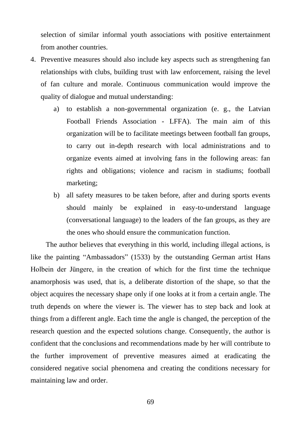selection of similar informal youth associations with positive entertainment from another countries.

- 4. Preventive measures should also include key aspects such as strengthening fan relationships with clubs, building trust with law enforcement, raising the level of fan culture and morale. Continuous communication would improve the quality of dialogue and mutual understanding:
	- a) to establish a non-governmental organization (e. g., the Latvian Football Friends Association - LFFA). The main aim of this organization will be to facilitate meetings between football fan groups, to carry out in-depth research with local administrations and to organize events aimed at involving fans in the following areas: fan rights and obligations; violence and racism in stadiums; football marketing;
	- b) all safety measures to be taken before, after and during sports events should mainly be explained in easy-to-understand language (conversational language) to the leaders of the fan groups, as they are the ones who should ensure the communication function.

The author believes that everything in this world, including illegal actions, is like the painting "Ambassadors" (1533) by the outstanding German artist Hans Holbein der Jüngere, in the creation of which for the first time the technique anamorphosis was used, that is, a deliberate distortion of the shape, so that the object acquires the necessary shape only if one looks at it from a certain angle. The truth depends on where the viewer is. The viewer has to step back and look at things from a different angle. Each time the angle is changed, the perception of the research question and the expected solutions change. Consequently, the author is confident that the conclusions and recommendations made by her will contribute to the further improvement of preventive measures aimed at eradicating the considered negative social phenomena and creating the conditions necessary for maintaining law and order.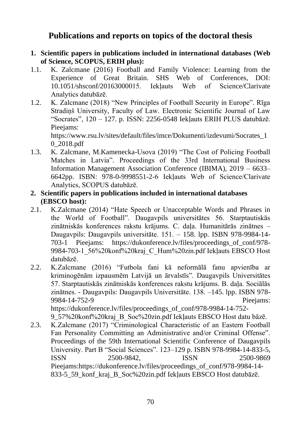## **Publications and reports on topics of the doctoral thesis**

- **1. Scientific papers in publications included in international databases (Web of Science, SCOPUS, ERIH plus):**
- 1.1. K. Zalcmane (2016) Football and Family Violence: Learning from the Experience of Great Britain. SHS Web of Conferences, DOI: 10.1051/shsconf/20163000015. Iekļauts Web of Science/Clarivate Analytics datubāzē.
- 1.2. K. Zalcmane (2018) "New Principles of Football Security in Europe". Rīga Stradinš University, Faculty of Law. Electronic Scientific Journal of Law "Socrates", 120 – 127. p. ISSN: 2256-0548 Iekļauts ERIH PLUS datubāzē. Pieejams: https://www.rsu.lv/sites/default/files/imce/Dokumenti/izdevumi/Socrates\_1

0\_2018.pdf

- 1.3. K. Zalcmane, M.Kamenecka-Usova (2019) "The Cost of Policing Football Matches in Latvia". Proceedings of the 33rd International Business Information Management Association Conference (IBIMA), 2019 – 6633– 6642pp. ISBN: 978-0-9998551-2-6 Iekļauts Web of Science/Clarivate Analytics, SCOPUS datubāzē.
- **2. Scientific papers in publications included in international databases (EBSCO host):**
- 2.1. K.Zalcmane (2014) "Hate Speech or Unacceptable Words and Phrases in the World of Football". Daugavpils universitātes 56. Starptautiskās zinātniskās konferences rakstu krājums. C. daļa. Humanitārās zinātnes -Daugavpils: Daugavpils universitāte. 151. – 158. lpp. ISBN 978-9984-14- 703-1 Pieejams: https://dukonference.lv/files/proceedings\_of\_conf/978- 9984-703-1\_56%20konf%20kraj\_C\_Hum%20zin.pdf Iekļauts EBSCO Host datubāzē.
- 2.2. K.Zalcmane (2016) "Futbola fani kā neformālā fanu apvienība ar kriminogēnām izpausmēm Latvijā un ārvalstīs". Daugavpils Universitātes 57. Starptautiskās zinātniskās konferences rakstu krājums. B. daļa. Sociālās zinātnes. - Daugavpils: Daugavpils Universitāte. 138. –145. lpp. ISBN 978- 9984-14-752-9 Pieejams:

https://dukonference.lv/files/proceedings\_of\_conf/978-9984-14-752-

9\_57%20konf%20kraj\_B\_Soc%20zin.pdf Iekļauts EBSCO Host datu bāzē.

2.3. K.Zalcmane (2017) "Criminological Characteristic of an Eastern Football Fan Personality Committing an Administrative and/or Criminal Offense". Proceedings of the 59th International Scientific Conference of Daugavpils University. Part B "Social Sciences". 123–129 p. ISBN 978-9984-14-833-5, ISSN 2500-9842, ISSN 2500-9869 Pieejams:https://dukonference.lv/files/proceedings\_of\_conf/978-9984-14-833-5\_59\_konf\_kraj\_B\_Soc%20zin.pdf Iekļauts EBSCO Host datubāzē.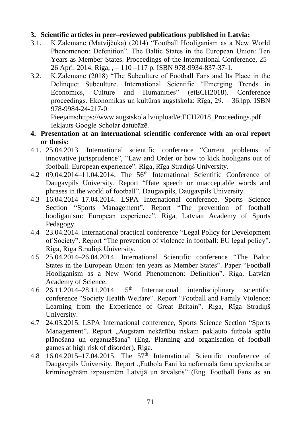## **3. Scientific articles in peer–reviewed publications published in Latvia:**

- 3.1. K.Zalcmane (Matvijčuka) (2014) "Football Hooliganism as a New World Phenomenon: Defenition". The Baltic States in the European Union: Ten Years as Member States. Proceedings of the International Conference, 25– 26 April 2014. Riga, , – 110 –117 p. ISBN 978-9934-837-37-1.
- 3.2. K.Zalcmane (2018) "The Subculture of Football Fans and Its Place in the Delinquet Subculture. International Scientific "Emerging Trends in Economics, Culture and Humanities" (etECH2018). Conference proceedings. Ekonomikas un kultūras augstskola: Rīga, 29. – 36.lpp. ISBN 978-9984-24-217-0

Pieejams:https://www.augstskola.lv/upload/etECH2018\_Proceedings.pdf Iekļauts Google Scholar datubāzē.

- **4. Presentation at an international scientific conference with an oral report or thesis:**
- 4.1. 25.04.2013. International scientific conference "Current problems of innovative jurisprudence", "Law and Order or how to kick hooligans out of football. European experience". Riga, Rīga Stradiņš University.
- 4.2 09.04.2014–11.04.2014. The 56th International Scientific Conference of Daugavpils University. Report "Hate speech or unacceptable words and phrases in the world of football". Daugavpils, Daugavpils University.
- 4.3 16.04.2014–17.04.2014. LSPA International conference. Sports Science Section "Sports Management". Report "The prevention of football hooliganism: European experience". Riga, Latvian Academy of Sports Pedagogy
- 4.4 23.04.2014. International practical conference "Legal Policy for Development of Society". Report "The prevention of violence in football: EU legal policy". Riga, Rīga Stradiņš University.
- 4.5 25.04.2014–26.04.2014. International Scientific conference "The Baltic States in the European Union: ten years as Member States". Paper "Football Hooliganism as a New World Phenomenon: Definition". Riga, Latvian Academy of Science.
- 4.6 26.11.2014–28.11.2014. 5th International interdisciplinary scientific conference "Society Health Welfare". Report "Football and Family Violence: Learning from the Experience of Great Britain". Riga, Rīga Stradiņš University.
- 4.7 24.03.2015. LSPA International conference, Sports Science Section "Sports Management". Report "Augstam nekārtību riskam pakļauto futbola spēļu plānošana un organizēšana" (Eng. Planning and organisation of football games at high risk of disorder). Riga.
- 4.8  $16.04.2015 17.04.2015$ . The  $57<sup>th</sup>$  International Scientific conference of Daugavpils University. Report "Futbola Fani kā neformālā fanu apvienība ar kriminogēnām izpausmēm Latvijā un ārvalstis" (Eng. Football Fans as an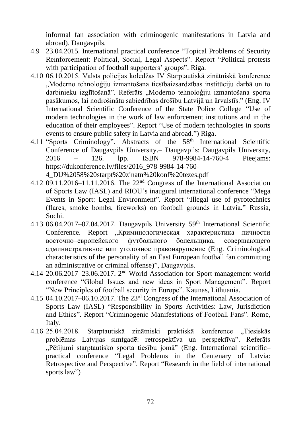informal fan association with criminogenic manifestations in Latvia and abroad). Daugavpils.

- 4.9 23.04.2015. International practical conference "Topical Problems of Security Reinforcement: Political, Social, Legal Aspects". Report "Political protests with participation of football supporters' groups". Riga.
- 4.10 06.10.2015. Valsts policijas koledžas IV Starptautiskā zinātniskā konference "Moderno tehnoloģiju izmantošana tiesībaizsardzības institūciju darbā un to darbinieku izglītošanā". Referāts "Moderno tehnoloģiju izmantošana sporta pasākumos, lai nodrošinātu sabiedrības drošību Latvijā un ārvalstīs." (Eng. IV International Scientific Conference of the State Police College "Use of modern technologies in the work of law enforcement institutions and in the education of their employees". Report "Use of modern technologies in sports events to ensure public safety in Latvia and abroad.") Riga.
- 4.11 "Sports Criminology". Abstracts of the 58<sup>th</sup> International Scientific Conference of Daugavpils University.– Daugavpils: Daugavpils University, 2016 – 126. lpp. ISBN 978-9984-14-760-4 Pieejams: https://dukonference.lv/files/2016\_978-9984-14-760- 4\_DU%2058%20starpt%20zinatn%20konf%20tezes.pdf

4.12 09.11.2016–11.11.2016. The  $22<sup>nd</sup>$  Congress of the International Association of Sports Law (IASL) and RIOU's inaugural international conference "Mega Events in Sport: Legal Environment". Report "Illegal use of pyrotechnics (flares, smoke bombs, fireworks) on football grounds in Latvia." Russia, Sochi.

- 4.13 06.04.2017–07.04.2017. Daugavpils University 59<sup>th</sup> International Scientific Conference. Report "Криминологическая характеристика личности восточно–европейского футбольного болельщика, совершающего административное или уголовное правонарушение (Eng. Criminological characteristics of the personality of an East European football fan committing an administrative or criminal offense)", Daugavpils.
- 4.14 20.06.2017–23.06.2017. 2nd World Association for Sport management world conference "Global Issues and new ideas in Sport Management". Report "New Principles of football security in Europe". Kaunas, Lithuania.
- 4.15 04.10.2017–06.10.2017. The 23rd Congress of the International Association of Sports Law (IASL) "Responsibility in Sports Activities: Law, Jurisdiction and Ethics". Report "Criminogenic Manifestations of Football Fans". Rome, Italy.
- 4.16 25.04.2018. Starptautiskā zinātniski praktiskā konference "Tiesiskās problēmas Latvijas simtgadē: retrospektīva un perspektīva". Referāts "Pētījumi starptautisko sporta tiesību jomā" (Eng. International scientific– practical conference "Legal Problems in the Centenary of Latvia: Retrospective and Perspective". Report "Research in the field of international sports law")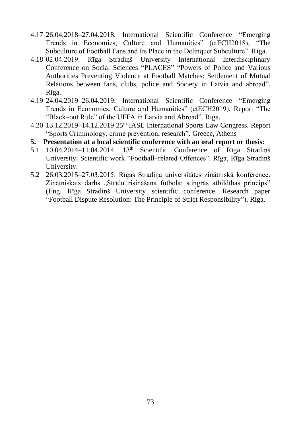- 4.17 26.04.2018–27.04.2018. International Scientific Conference "Emerging Trends in Economics, Culture and Humanities" (etECH2018), "The Subculture of Football Fans and Its Place in the Delinquet Subculture". Riga.
- 4.18 02.04.2019. Rīga Stradiņš University International Interdisciplinary Conference on Social Sciences "PLACES" "Powers of Police and Various Authorities Preventing Violence at Football Matches: Settlement of Mutual Relations between fans, clubs, police and Society in Latvia and abroad". Riga.
- 4.19 24.04.2019–26.04.2019. International Scientific Conference "Emerging Trends in Economics, Culture and Humanities" (etECH2019), Report "The "Black–out Rule" of the UFFA in Latvia and Abroad". Riga.
- 4.20 13.12.2019–14.12.2019 25th IASL International Sports Law Congress. Report "Sports Criminology, crime prevention, research". Greece, Athens
- **5. Presentation at a local scientific conference with an oral report or thesis:**
- 5.1 10.04.2014–11.04.2014. 13<sup>th</sup> Scientific Conference of Rīga Stradinš University. Scientific work "Football–related Offences". Rīga, Rīga Stradiņš University.
- 5.2 26.03.2015–27.03.2015. Rīgas Stradiņa universitātes zinātniskā konference. Zinātniskais darbs "Strīdu risināšana futbolā: stingrās atbildības princips" (Eng. Rīga Stradiņš University scientific conference. Research paper "Football Dispute Resolution: The Principle of Strict Responsibility"). Riga.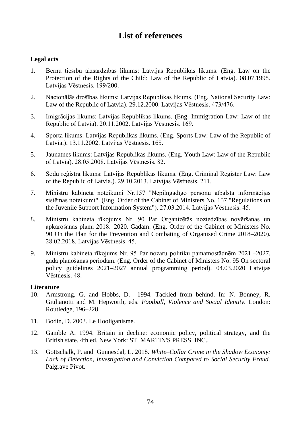# **List of references**

# **Legal acts**

- 1. Bērnu tiesību aizsardzības likums: Latvijas Republikas likums. (Eng. Law on the Protection of the Rights of the Child: Law of the Republic of Latvia). 08.07.1998. Latvijas Vēstnesis. 199/200.
- 2. Nacionālās drošības likums: Latvijas Republikas likums. (Eng. National Security Law: Law of the Republic of Latvia). 29.12.2000. Latvijas Vēstnesis. 473/476.
- 3. Imigrācijas likums: Latvijas Republikas likums. (Eng. Immigration Law: Law of the Republic of Latvia). 20.11.2002. Latvijas Vēstnesis. 169.
- 4. Sporta likums: Latvijas Republikas likums. (Eng. Sports Law: Law of the Republic of Latvia.). 13.11.2002. Latvijas Vēstnesis. 165.
- 5. Jaunatnes likums: Latvijas Republikas likums. (Eng. Youth Law: Law of the Republic of Latvia). 28.05.2008. Latvijas Vēstnesis. 82.
- 6. Sodu reģistra likums: Latvijas Republikas likums. (Eng. Criminal Register Law: Law of the Republic of Latvia.). 29.10.2013. Latvijas Vēstnesis. 211.
- 7. Ministru kabineta noteikumi Nr.157 "Nepilngadīgo personu atbalsta informācijas sistēmas noteikumi". (Eng. Order of the Cabinet of Ministers No. 157 "Regulations on the Juvenile Support Information System"). 27.03.2014. Latvijas Vēstnesis. 45.
- 8. Ministru kabineta rīkojums Nr. 90 Par Organizētās noziedzības novēršanas un apkarošanas plānu 2018.–2020. Gadam. (Eng. Order of the Cabinet of Ministers No. 90 On the Plan for the Prevention and Combating of Organised Crime 2018–2020). 28.02.2018. Latvijas Vēstnesis. 45.
- 9. Ministru kabineta rīkojums Nr. 95 Par nozaru politiku pamatnostādnēm 2021.–2027. gada plānošanas periodam. (Eng. Order of the Cabinet of Ministers No. 95 On sectoral policy guidelines 2021–2027 annual programming period). 04.03.2020 Latvijas Vēstnesis. 48.

### **Literature**

- 10. Armstrong, G. and Hobbs, D. 1994. Tackled from behind. In: N. Bonney, R. Giulianotti and M. Hepworth, eds. *Football, Violence and Social Identity.* London: Routledge, 196–228.
- 11. Bodin, D. 2003. Le Hooliganisme.
- 12. Gamble A. 1994. Britain in decline: economic policy, political strategy, and the British state. 4th ed. New York: ST. MARTIN'S PRESS, INC.,
- 13. Gottschalk, P. and Gunnesdal, L. 2018. *White–Collar Crime in the Shadow Economy: Lack of Detection, Investigation and Conviction Compared to Social Security Fraud.* Palgrave Pivot.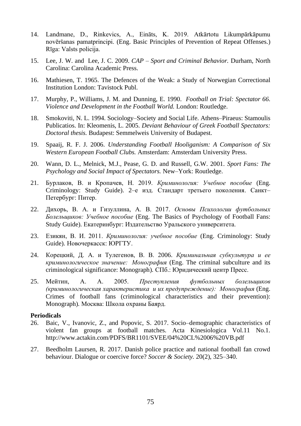- 14. Landmane, D., Rinkevics, A., Eināts, K. 2019. Atkārtotu Likumpārkāpumu novēršanas pamatprincipi. (Eng. Basic Principles of Prevention of Repeat Offenses.) Rīga: Valsts policija.
- 15. Lee, J. W. and Lee, J. C. 2009. *CAP – Sport and Criminal Behavior.* Durham, North Carolina: Carolina Academic Press.
- 16. Mathiesen, T. 1965. The Defences of the Weak: a Study of Norwegian Correctional Institution London: Tavistock Publ.
- 17. Murphy, P., Williams, J. M. and Dunning, E. 1990. *Football on Trial: Spectator 66. Violence and Development in the Football World.* London: Routledge.
- 18. Smokoviti, N. L. 1994. Sociology–Society and Social Life. Athens–Piraeus: Stamoulis Publicatios. In: Kleomenis, L. 2005. *Deviant Behaviour of Greek Football Spectators: Doctoral thesis.* Budapest: Semmelweis University of Budapest.
- 19. Spaaij, R. F. J. 2006. *Understanding Football Hooliganism: A Comparison of Six Western European Football Clubs.* Amsterdam: Amsterdam University Press.
- 20. Wann, D. L., Melnick, M.J., Pease, G. D. and Russell, G.W. 2001. *Sport Fans: The Psychology and Social Impact of Spectators.* New–York: Routledge.
- 21. Бурлаков, В. и Кропачев, Н. 2019. *Криминология: Учебное пособие* (Eng. Criminology: Study Guide). 2–е изд. Стандарт третьего поколения. Санкт– Петербург: Питер.
- 22. Дихорь, В. А. и Гизуллина, А. В. 2017. *Основы Психологии футбольных Болельщиков: Учебное пособие* (Eng. The Basics of Psychology of Football Fans: Study Guide)*.* Екатеринбург: Издательство Уральского университета.
- 23. Езикян, В. И. 2011. *Криминология: учебное пособие* (Eng. Criminology: Study Guide)*.* Новочеркасск: ЮРГТУ.
- 24. Корецкий, Д. А. и Тулегенов, В. В. 2006. *Криминальная субкультура и ее криминологическое значение: Монография* (Eng. The criminal subculture and its criminological significance: Monograph)*.* СПб.: Юридический центр Пресс.
- 25. Мейтин, А. А. 2005. *Преступления футбольных болельщиков (криминологическая характеристика и их предупреждение): Монография* (Eng. Crimes of football fans (criminological characteristics and their prevention): Monograph)*.* Москва: Школа охраны Баярд.

#### **Periodicals**

- 26. Baic, V., Ivanovic, Z., and Popovic, S. 2017. Socio–demographic characteristics of violent fan groups at football matches. Acta Kinesiologica Vol.11 No.1. http://www.actakin.com/PDFS/BR1101/SVEE/04%20CL%2006%20VB.pdf
- 27. Beedholm Laursen, R. 2017. Danish police practice and national football fan crowd behaviour. Dialogue or coercive force? *Soccer & Society.* 20(2), 325–340.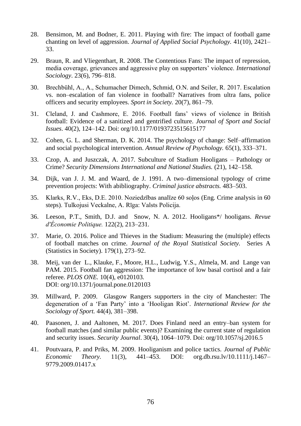- 28. Bensimon, M. and Bodner, E. 2011. Playing with fire: The impact of football game chanting on level of aggression. *Journal of Applied Social Psychology.* 41(10), 2421– 33.
- 29. Braun, R. and Vliegenthart, R. 2008. The Contentious Fans: The impact of repression, media coverage, grievances and aggressive play on supporters' violence. *International Sociology*. 23(6), 796–818.
- 30. Brechbühl, A., A., Schumacher Dimech, Schmid, O.N. and Seiler, R. 2017. Escalation vs. non–escalation of fan violence in football? Narratives from ultra fans, police officers and security employees. *Sport in Society.* 20(7), 861–79.
- 31. Cleland, J. and Cashmore, E. 2016. Football fans' views of violence in British football: Evidence of a sanitized and gentrified culture. *Journal of Sport and Social Issues*. 40(2), 124–142. Doi: org/10.1177/0193723515615177
- 32. Cohen, G. L. and Sherman, D. K. 2014. The psychology of change: Self–affirmation and social psychological intervention. *Annual Review of Psychology.* 65(1), 333–371.
- 33. Czop, A. and Juszczak, A. 2017. Subculture of Stadium Hooligans Pathology or Crime? *Security Dimensions International and National Studies.* (21), 142–158.
- 34. Dijk, van J. J. M. and Waard, de J. 1991. A two–dimensional typology of crime prevention projects: With abibliography. *Criminal justice abstracts.* 483–503.
- 35. Klarks, R.V., Eks, D.E. 2010. Noziedzības analīze 60 soļos (Eng. Crime analysis in 60 steps). Tulkojusi Veckalne, A. Rīga: Valsts Policija.
- 36. Leeson, P.T., Smith, D.J. and Snow, N. A. 2012. Hooligans\*/ hooligans. *Revue d'Économie Politique.* 122(2), 213–231.
- 37. Marie, O. 2016. Police and Thieves in the Stadium: Measuring the (multiple) effects of football matches on crime. *Journal of the Royal Statistical Society.* Series A (Statistics in Society). 179(1), 273–92.
- 38. Meij, van der L., Klauke, F., Moore, H.L., Ludwig, Y.S., Almela, M. and Lange van PAM. 2015. Football fan aggression: The importance of low basal cortisol and a fair referee. *PLOS ONE.* 10(4), e0120103. DOI: org/10.1371/journal.pone.0120103
- 39. Millward, P. 2009. Glasgow Rangers supporters in the city of Manchester: The degeneration of a 'Fan Party' into a 'Hooligan Riot'. *International Review for the Sociology of Sport.* 44(4), 381–398.
- 40. Paasonen, J. and Aaltonen, M. 2017. Does Finland need an entry–ban system for football matches (and similar public events)? Examining the current state of regulation and security issues. *Security Journal*. 30(4), 1064–1079. Doi: org/10.1057/sj.2016.5
- 41. Poutvaara, P. and Priks, M. 2009. Hooliganism and police tactics. *Journal of Public Economic Theory.* 11(3), 441–453. DOI: org.db.rsu.lv/10.1111/j.1467– 9779.2009.01417.x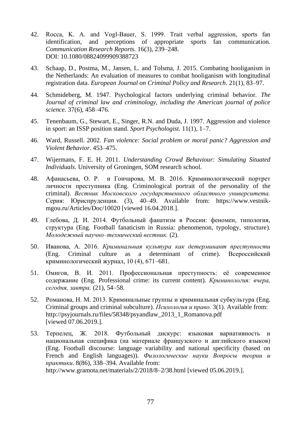- 42. Rocca, K. A. and Vogl‐Bauer, S. 1999. Trait verbal aggression, sports fan identification, and perceptions of appropriate sports fan communication. *Communication Research Reports.* 16(3), 239–248. DOI: 10.1080/08824099909388723
- 43. Schaap, D., Postma, M., Jansen, L. and Tolsma, J. 2015. Combating hooliganism in the Netherlands: An evaluation of measures to combat hooliganism with longitudinal registration data. *European Journal on Criminal Policy and Research*. 21(1), 83–97.
- 44. Schmideberg, M. 1947. Psychological factors underlying criminal behavior. *The Journal of criminal law and criminology, including the American journal of police science.* 37(6), 458–476.
- 45. Tenenbaum, G., Stewart, E., Singer, R.N. and Duda, J. 1997. Aggression and violence in sport: an ISSP position stand. *Sport Psychologist.* 11(1), 1–7.
- 46. Ward, Russell. 2002. *Fan violence: Social problem or moral panic? Aggression and Violent Behavior*. 453–475.
- 47. Wijermans, F. E. H. 2011. *Understanding Crowd Behaviour: Simulating Situated Individuals.* University of Groningen, SOM research school.
- 48. Афанасьева, О. Р. и Гончарова, М. В. 2016. Криминологический портрет личности преступника (Eng. Criminological portrait of the personality of the criminal). *Вестник Московского государственного областного университета.*  Серия: Юриспруденция. (3), 40–49. Available from: https://www.vestnikmgou.ru/Articles/Doc/10020 [viewed 16.04.2018.].
- 49. Глебова, Д. И. 2014. Футбольный фанатизм в России: феномен, типология, структура (Eng. Football fanaticism in Russia: phenomenon, typology, structure). *Молодежный научно–технический вестник.* (2).
- 50. Иванова, А. 2016. *Криминальная культура как детерминант преступности* (Eng. Criminal culture as a determinant of crime)*.* Всероссийский криминологический журнал, 10 (4), 671–681.
- 51. Омигов, В. И. 2011. Профессиональная преступность: её современное содержание (Eng. Professional crime: its current content). *Криминология: вчера, сегодня, завтра.* (21), 54–58.
- 52. Романова, Н. М. 2013. Криминальные группы и криминальная субкультура (Eng. Criminal groups and criminal subculture). *Психология и право.* 3(1). Available from: http://psyjournals.ru/files/58348/psyandlaw\_2013\_1\_Romanova.pdf [viewed 07.06.2019.].
- 53. Терпелец, Ж. 2018. Футбольный дискурс: языковая вариативность и национальная специфика (на материале французского и английского языков) (Eng. Football discourse: language variability and national specificity (based on French and English languages)). *Филологические науки Вопросы теории и практики.* 8(86), 338–394. Available from: http://www.gramota.net/materials/2/2018/8–2/38.html [viewed 05.06.2019.].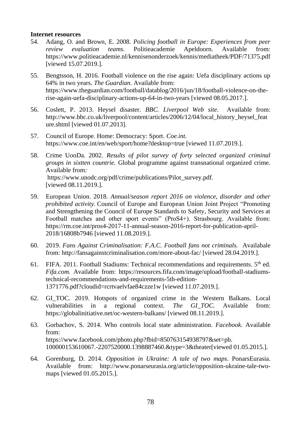#### **Internet resources**

- 54. Adang, O. and Brown, E. 2008. *Policing football in Europe: Experiences from peer review evaluation teams.* Politieacademie Apeldoorn. Available from: https://www.politieacademie.nl/kennisenonderzoek/kennis/mediatheek/PDF/71375.pdf [viewed 15.07.2019.].
- 55. Bengtsson, H. 2016. Football violence on the rise again: Uefa disciplinary actions up 64% in two years. *The Guardian.* Available from: https://www.theguardian.com/football/datablog/2016/jun/18/football-violence-on-therise-again-uefa-disciplinary-actions-up-64-in-two-years [viewed 08.05.2017.].
- 56. Coslett, P. 2013. Heysel disaster. *BBC. Liverpool Web site*. Available from: http://www.bbc.co.uk/liverpool/content/articles/2006/12/04/local\_history\_heysel\_feat ure.shtml [viewed 01.07.2013].
- 57. Council of Europe. Home: Democracy: Sport. *Coe.int.* https://www.coe.int/en/web/sport/home?desktop=true [viewed 11.07.2019.].
- 58. Crime UooDa. 2002. *Results of pilot survey of forty selected organized criminal groups in sixtten countrie.* Global programme against transnational organized crime*.*  Available from*:* https://www.unodc.org/pdf/crime/publications/Pilot\_survey.pdf. [viewed 08.11.2019.].
- 59. European Union. 2018. *Annual/season report 2016 on violence, disorder and other prohibited activity.* Council of Europe and European Union Joint Project "Promoting and Strengthening the Council of Europe Standards to Safety, Security and Services at Football matches and other sport events" (ProS4+). Strasbourg. Available from: https://rm.coe.int/pros4-2017-11-annual-season-2016-report-for-publication-april-2018/16808b7946 [viewed 11.08.2019.].
- 60. 2019. *Fans Against Criminalisation: F.A.C. Football fans not criminals.* Availabale from: http://fansagainstcriminalisation.com/more-about-fac/ [viewed 28.04.2019.].
- 61. FIFA. 2011. Football Stadiums: Technical recommendations and requirements. 5<sup>th</sup> ed. *Fifa.com.* Available from: https://resources.fifa.com/image/upload/football-stadiumstechnical-recommendations-and-requirements-5th-edition-1371776.pdf?cloudid=rcrtvaelvfae84czze1w [viewed 11.07.2019.].
- 62. GI\_TOC. 2019. Hotspots of organized crime in the Western Balkans. Local vulnerabilities in a regional context. *The GI\_TOC.* Available from: https://globalinitiative.net/oc-western-balkans/ [viewed 08.11.2019.].
- 63. Gorbachov, S. 2014. Who controls local state administration. *Facebook*. Available from: https://www.facebook.com/photo.php?fbid=850763154938797&set=pb. 100000153610067.-2207520000.1398887460.&type=3&theater[viewed 01.05.2015.].
- 64. Gorenburg, D. 2014. *Opposition in Ukraine: A tale of two maps*. PonarsEurasia. Available from: http://www.ponarseurasia.org/article/opposition-ukraine-tale-twomaps [viewed 01.05.2015.].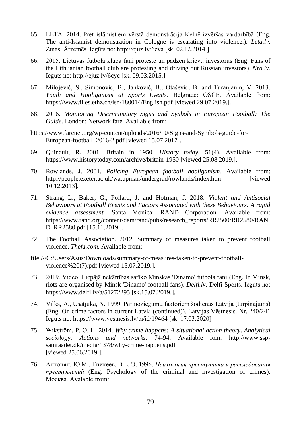- 65. LETA. 2014. Pret islāmistiem vērstā demonstrācija Ķelnē izvēršas vardarbībā (Eng. The anti-Islamist demonstration in Cologne is escalating into violence.). *Leta.lv*. Ziņas: Ārzemēs. Iegūts no: http://ejuz.lv/6cva [sk. 02.12.2014.].
- 66. 2015. Lietuvas futbola kluba fani protestē un padzen krievu investorus (Eng. Fans of the Lithuanian football club are protesting and driving out Russian investors). *Nra.lv.* Iegūts no: http://ejuz.lv/6cyc [sk. 09.03.2015.].
- 67. Milojević, S., Simonović, B., Janković, B., Otašević, B. and Turanjanin, V. 2013. *Youth and Hooliganism at Sports Events*. Belgrade: ОSCE. Available from: https://www.files.ethz.ch/isn/180014/English.pdf [viewed 29.07.2019.].
- 68. 2016. *Monitoring Discriminatory Signs and Synbols in European Football: The Guide.* London: Network fare. Available from:
- https://www.farenet.org/wp-content/uploads/2016/10/Signs-and-Symbols-guide-for-European-football\_2016-2.pdf [viewed 15.07.2017].
- 69. Quinault, R. 2001. Britain in 1950. *History today.* 51(4). Available from: https://www.historytoday.com/archive/britain-1950 [viewed 25.08.2019.].
- 70. Rowlands, J. 2001. *Policing European football hooliganism.* Available from: http://people.exeter.ac.uk/watupman/undergrad/rowlands/index.htm [viewed 10.12.2013].
- 71. Strang, L., Baker, G., Pollard, J. and Hofman, J. 2018. *Violent and Antisocial Behaviours at Football Events and Factors Associated with these Behaviours: A rapid evidence assessment.* Santa Monica: RAND Corporation. Available from: https://www.rand.org/content/dam/rand/pubs/research\_reports/RR2500/RR2580/RAN D\_RR2580.pdf [15.11.2019.].
- 72. The Football Association. 2012. Summary of measures taken to prevent football violence. *Thefa.com*. Available from:
- file:///C:/Users/Asus/Downloads/summary-of-measures-taken-to-prevent-footballviolence%20(7).pdf [viewed 15.07.2019.].
- 73. 2019. Video: Liepājā nekārtības sarīko Minskas 'Dinamo' futbola fani (Eng. In Minsk, riots are organised by Minsk 'Dinamo' football fans). *Delfi.lv*. Delfi Sports. Iegūts no: https://www.delfi.lv/a/51272295 [sk.15.07.2019.].
- 74. Vilks, A., Usatjuka, N. 1999. Par noziegumu faktoriem šodienas Latvijā (turpinājums) (Eng. On crime factors in current Latvia (continued)). Latvijas Vēstnesis. Nr. 240/241 Iegūts no: https://www.vestnesis.lv/ta/id/19464 [sk. 17.03.2020]
- 75. Wikström, P. O. H. 2014. *Why crime happens: A situational action theory*. *Analytical sociology: Actions and networks.* 74-94. Available fom: http://www.sspsamraadet.dk/media/1378/why-crime-happens.pdf [viewed 25.06.2019.].
- 76. Антонян, Ю.М., Еникеев, В.Е. Э. 1996. *Психология преступника и расследования преступлений* (Eng. Psychology of the criminal and investigation of crimes)*.* Москва. Avalable from: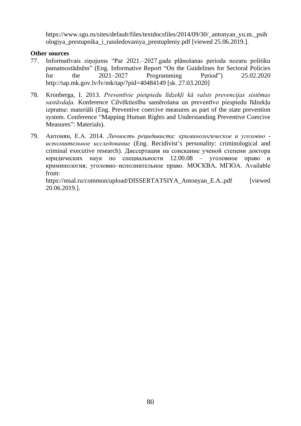https://www.sgu.ru/sites/default/files/textdocsfiles/2014/09/30/\_antonyan\_yu.m.\_psih ologiya\_prestupnika\_i\_rassledovaniya\_prestupleniy.pdf [viewed 25.06.2019.].

## **Other sources**

- 77. Informatīvais ziņojums "Par 2021.–2027.gada plānošanas perioda nozaru politiku pamatnostādnēm" (Eng. Informative Report "On the Guidelines for Sectoral Policies for the 2021–2027 Programming Period") 25.02.2020 http://tap.mk.gov.lv/lv/mk/tap/?pid=40484149 [sk. 27.03.2020]
- 78. Kronberga, I. 2013. *Preventīvie piespiedu līdzekļi kā valsts prevencijas sistēmas sastāvdaļa.* Konference Cilvēktiesību samērošana un preventīvo piespiedu līdzekļu izpratne: materiāli (Eng. Preventive coercive measures as part of the state prevention system. Conference "Mapping Human Rights and Understanding Preventive Coercive Measures": Materials).
- 79. Антонян, Е.А. 2014. *Личность рецидивиста: криминологическое и уголовно исполнительное исследование* (Eng. Recidivist's personality: criminological and criminal executive research)*.* Диссертация на соискание ученой степени доктора юридических наук по специальности 12.00.08 – уголовное право и криминология; уголовно–исполнительное право. МОСКВА, МГЮА. Available from:

https://msal.ru/common/upload/DISSERTATSIYA\_Antonyan\_E.A..pdf [viewed 20.06.2019.].